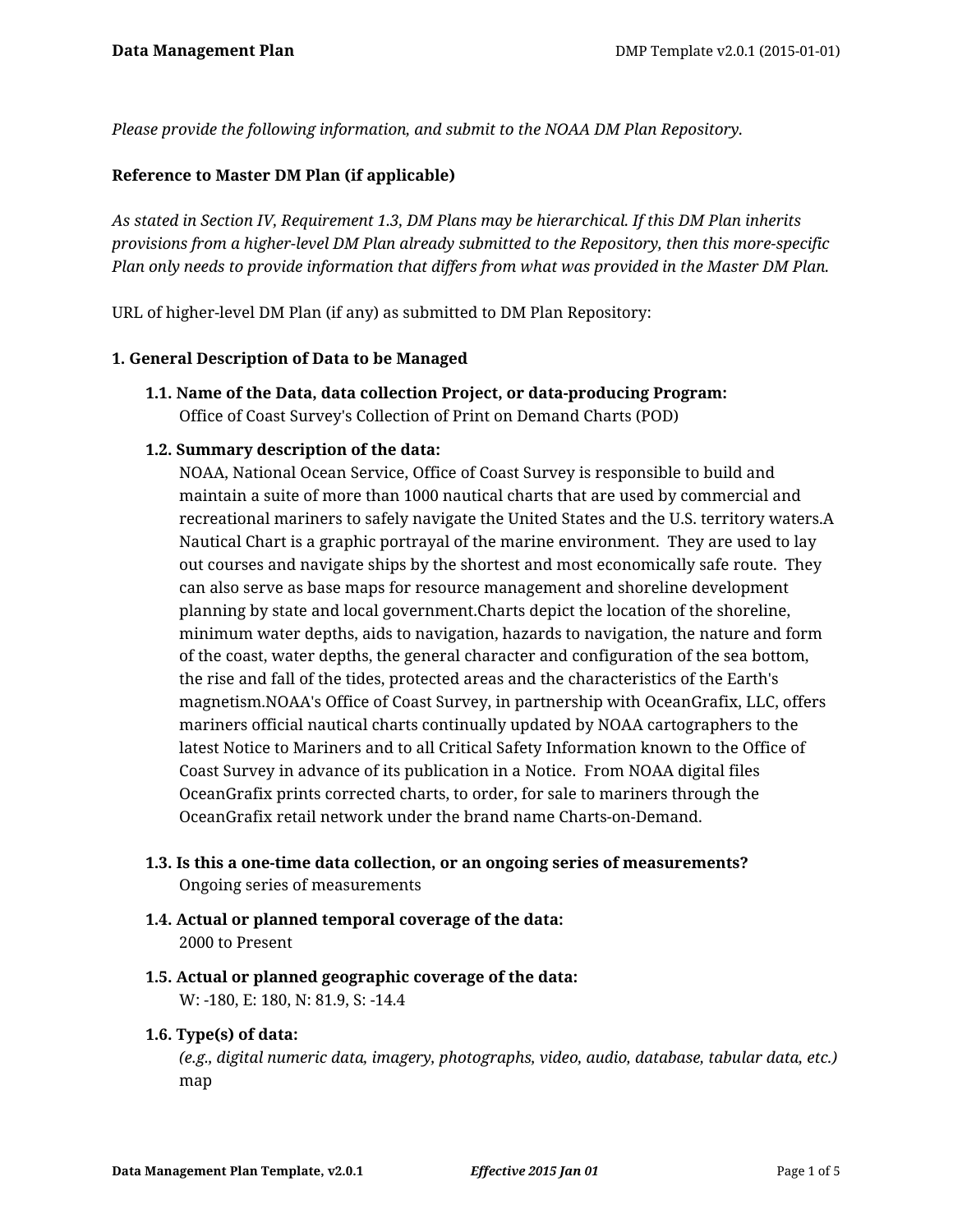*Please provide the following information, and submit to the NOAA DM Plan Repository.*

## **Reference to Master DM Plan (if applicable)**

*As stated in Section IV, Requirement 1.3, DM Plans may be hierarchical. If this DM Plan inherits provisions from a higher-level DM Plan already submitted to the Repository, then this more-specific Plan only needs to provide information that differs from what was provided in the Master DM Plan.*

URL of higher-level DM Plan (if any) as submitted to DM Plan Repository:

#### **1. General Description of Data to be Managed**

**1.1. Name of the Data, data collection Project, or data-producing Program:** Office of Coast Survey's Collection of Print on Demand Charts (POD)

## **1.2. Summary description of the data:**

NOAA, National Ocean Service, Office of Coast Survey is responsible to build and maintain a suite of more than 1000 nautical charts that are used by commercial and recreational mariners to safely navigate the United States and the U.S. territory waters.A Nautical Chart is a graphic portrayal of the marine environment. They are used to lay out courses and navigate ships by the shortest and most economically safe route. They can also serve as base maps for resource management and shoreline development planning by state and local government.Charts depict the location of the shoreline, minimum water depths, aids to navigation, hazards to navigation, the nature and form of the coast, water depths, the general character and configuration of the sea bottom, the rise and fall of the tides, protected areas and the characteristics of the Earth's magnetism.NOAA's Office of Coast Survey, in partnership with OceanGrafix, LLC, offers mariners official nautical charts continually updated by NOAA cartographers to the latest Notice to Mariners and to all Critical Safety Information known to the Office of Coast Survey in advance of its publication in a Notice. From NOAA digital files OceanGrafix prints corrected charts, to order, for sale to mariners through the OceanGrafix retail network under the brand name Charts-on-Demand.

- **1.3. Is this a one-time data collection, or an ongoing series of measurements?** Ongoing series of measurements
- **1.4. Actual or planned temporal coverage of the data:** 2000 to Present
- **1.5. Actual or planned geographic coverage of the data:** W: -180, E: 180, N: 81.9, S: -14.4

#### **1.6. Type(s) of data:**

*(e.g., digital numeric data, imagery, photographs, video, audio, database, tabular data, etc.)* map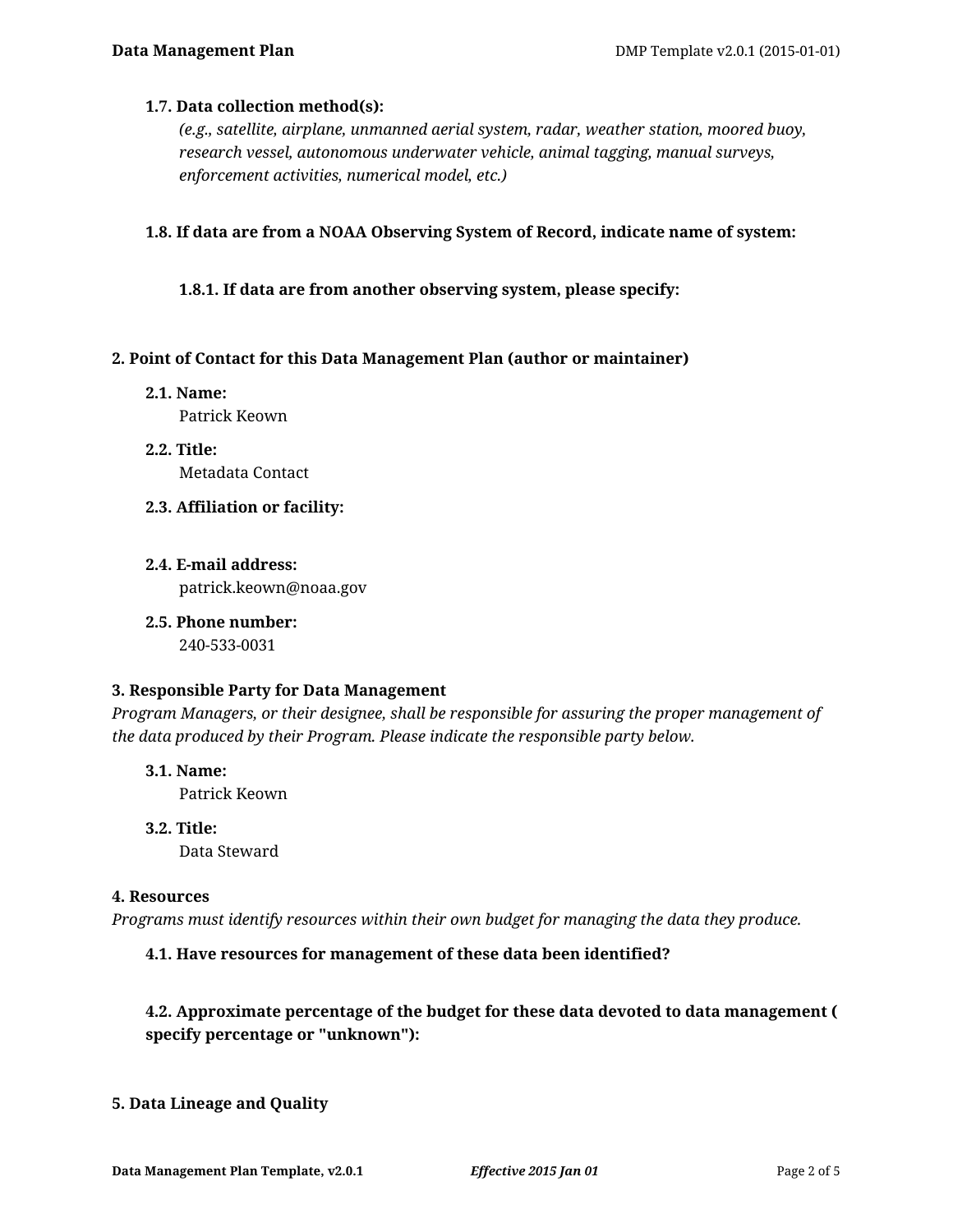## **1.7. Data collection method(s):**

*(e.g., satellite, airplane, unmanned aerial system, radar, weather station, moored buoy, research vessel, autonomous underwater vehicle, animal tagging, manual surveys, enforcement activities, numerical model, etc.)*

**1.8. If data are from a NOAA Observing System of Record, indicate name of system:**

**1.8.1. If data are from another observing system, please specify:**

## **2. Point of Contact for this Data Management Plan (author or maintainer)**

- **2.1. Name:** Patrick Keown
- **2.2. Title:** Metadata Contact
- **2.3. Affiliation or facility:**
- **2.4. E-mail address:** patrick.keown@noaa.gov
- **2.5. Phone number:** 240-533-0031

#### **3. Responsible Party for Data Management**

*Program Managers, or their designee, shall be responsible for assuring the proper management of the data produced by their Program. Please indicate the responsible party below.*

- **3.1. Name:** Patrick Keown
- **3.2. Title:** Data Steward

#### **4. Resources**

*Programs must identify resources within their own budget for managing the data they produce.*

## **4.1. Have resources for management of these data been identified?**

## **4.2. Approximate percentage of the budget for these data devoted to data management ( specify percentage or "unknown"):**

## **5. Data Lineage and Quality**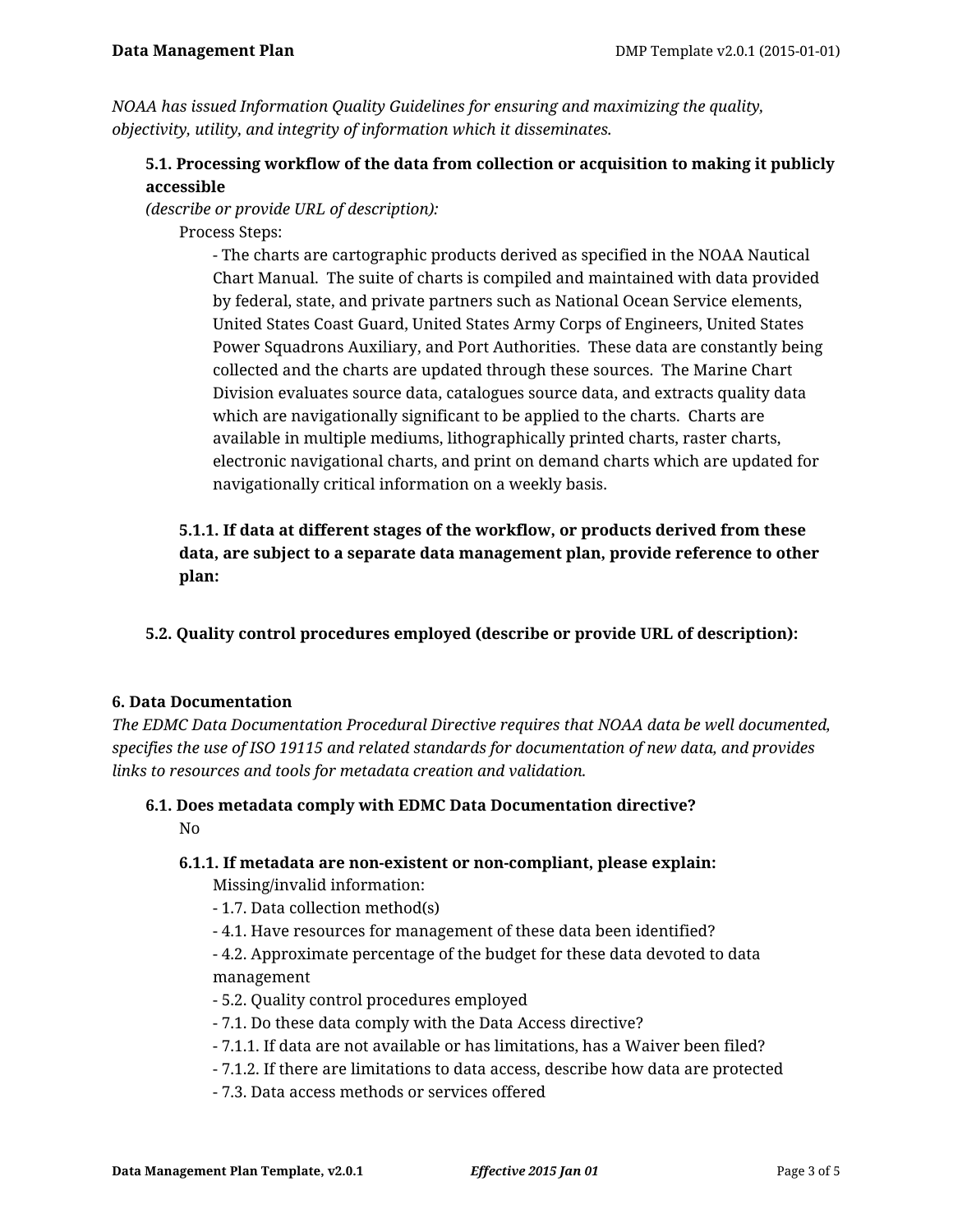*NOAA has issued Information Quality Guidelines for ensuring and maximizing the quality, objectivity, utility, and integrity of information which it disseminates.*

# **5.1. Processing workflow of the data from collection or acquisition to making it publicly accessible**

*(describe or provide URL of description):*

Process Steps:

- The charts are cartographic products derived as specified in the NOAA Nautical Chart Manual. The suite of charts is compiled and maintained with data provided by federal, state, and private partners such as National Ocean Service elements, United States Coast Guard, United States Army Corps of Engineers, United States Power Squadrons Auxiliary, and Port Authorities. These data are constantly being collected and the charts are updated through these sources. The Marine Chart Division evaluates source data, catalogues source data, and extracts quality data which are navigationally significant to be applied to the charts. Charts are available in multiple mediums, lithographically printed charts, raster charts, electronic navigational charts, and print on demand charts which are updated for navigationally critical information on a weekly basis.

# **5.1.1. If data at different stages of the workflow, or products derived from these data, are subject to a separate data management plan, provide reference to other plan:**

# **5.2. Quality control procedures employed (describe or provide URL of description):**

## **6. Data Documentation**

*The EDMC Data Documentation Procedural Directive requires that NOAA data be well documented, specifies the use of ISO 19115 and related standards for documentation of new data, and provides links to resources and tools for metadata creation and validation.*

# **6.1. Does metadata comply with EDMC Data Documentation directive?** No

#### **6.1.1. If metadata are non-existent or non-compliant, please explain:**

Missing/invalid information:

- 1.7. Data collection method(s)
- 4.1. Have resources for management of these data been identified?
- 4.2. Approximate percentage of the budget for these data devoted to data management
- 5.2. Quality control procedures employed
- 7.1. Do these data comply with the Data Access directive?
- 7.1.1. If data are not available or has limitations, has a Waiver been filed?
- 7.1.2. If there are limitations to data access, describe how data are protected
- 7.3. Data access methods or services offered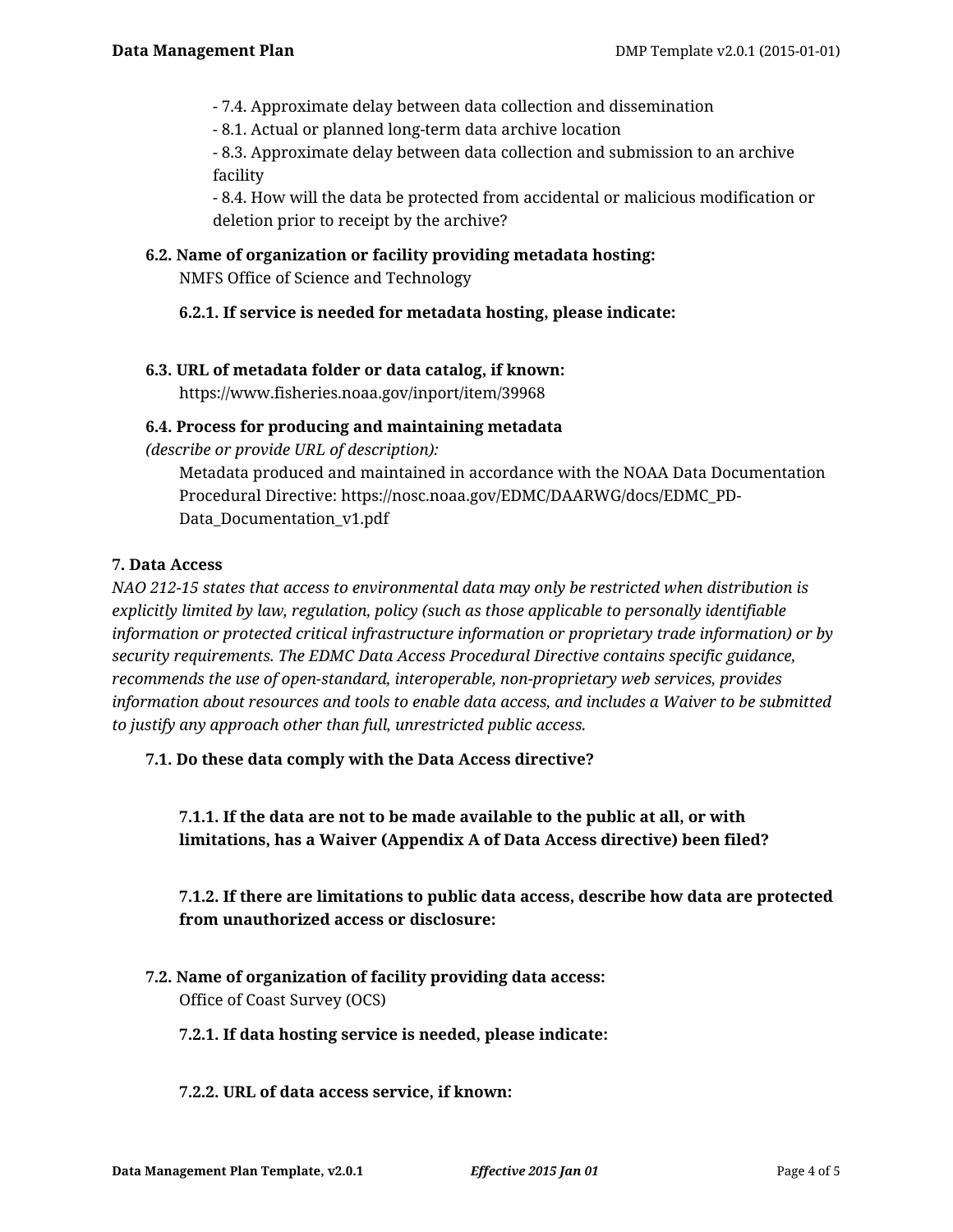- 7.4. Approximate delay between data collection and dissemination
- 8.1. Actual or planned long-term data archive location

- 8.3. Approximate delay between data collection and submission to an archive facility

- 8.4. How will the data be protected from accidental or malicious modification or deletion prior to receipt by the archive?

### **6.2. Name of organization or facility providing metadata hosting:**

NMFS Office of Science and Technology

## **6.2.1. If service is needed for metadata hosting, please indicate:**

## **6.3. URL of metadata folder or data catalog, if known:**

https://www.fisheries.noaa.gov/inport/item/39968

## **6.4. Process for producing and maintaining metadata**

*(describe or provide URL of description):*

Metadata produced and maintained in accordance with the NOAA Data Documentation Procedural Directive: https://nosc.noaa.gov/EDMC/DAARWG/docs/EDMC\_PD-Data\_Documentation\_v1.pdf

## **7. Data Access**

*NAO 212-15 states that access to environmental data may only be restricted when distribution is explicitly limited by law, regulation, policy (such as those applicable to personally identifiable information or protected critical infrastructure information or proprietary trade information) or by security requirements. The EDMC Data Access Procedural Directive contains specific guidance, recommends the use of open-standard, interoperable, non-proprietary web services, provides information about resources and tools to enable data access, and includes a Waiver to be submitted to justify any approach other than full, unrestricted public access.*

## **7.1. Do these data comply with the Data Access directive?**

**7.1.1. If the data are not to be made available to the public at all, or with limitations, has a Waiver (Appendix A of Data Access directive) been filed?**

**7.1.2. If there are limitations to public data access, describe how data are protected from unauthorized access or disclosure:**

**7.2. Name of organization of facility providing data access:** Office of Coast Survey (OCS)

#### **7.2.1. If data hosting service is needed, please indicate:**

#### **7.2.2. URL of data access service, if known:**